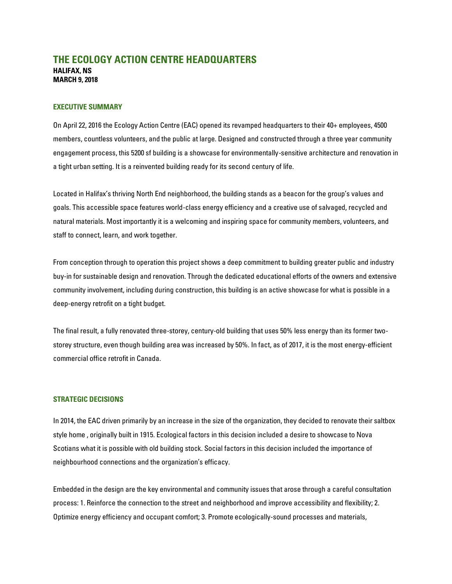# **THE ECOLOGY ACTION CENTRE HEADQUARTERS HALIFAX, NS MARCH 9, 2018**

#### **EXECUTIVE SUMMARY**

On April 22, 2016 the Ecology Action Centre (EAC) opened its revamped headquarters to their 40+ employees, 4500 members, countless volunteers, and the public at large. Designed and constructed through a three year community engagement process, this 5200 sf building is a showcase for environmentally-sensitive architecture and renovation in a tight urban setting. It is a reinvented building ready for its second century of life.

Located in Halifax's thriving North End neighborhood, the building stands as a beacon for the group's values and goals. This accessible space features world-class energy efficiency and a creative use of salvaged, recycled and natural materials. Most importantly it is a welcoming and inspiring space for community members, volunteers, and staff to connect, learn, and work together.

From conception through to operation this project shows a deep commitment to building greater public and industry buy-in for sustainable design and renovation. Through the dedicated educational efforts of the owners and extensive community involvement, including during construction, this building is an active showcase for what is possible in a deep-energy retrofit on a tight budget.

The final result, a fully renovated three-storey, century-old building that uses 50% less energy than its former twostorey structure, even though building area was increased by 50%. In fact, as of 2017, it is the most energy-efficient commercial office retrofit in Canada.

#### **STRATEGIC DECISIONS**

In 2014, the EAC driven primarily by an increase in the size of the organization, they decided to renovate their saltbox style home , originally built in 1915. Ecological factors in this decision included a desire to showcase to Nova Scotians what it is possible with old building stock. Social factors in this decision included the importance of neighbourhood connections and the organization's efficacy.

Embedded in the design are the key environmental and community issues that arose through a careful consultation process: 1. Reinforce the connection to the street and neighborhood and improve accessibility and flexibility; 2. Optimize energy efficiency and occupant comfort; 3. Promote ecologically-sound processes and materials,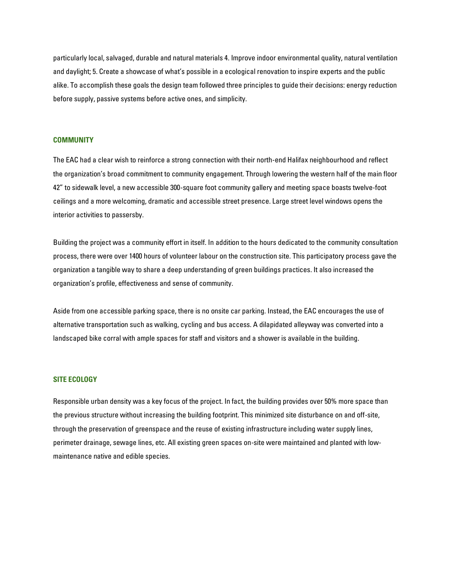particularly local, salvaged, durable and natural materials 4. Improve indoor environmental quality, natural ventilation and daylight; 5. Create a showcase of what's possible in a ecological renovation to inspire experts and the public alike. To accomplish these goals the design team followed three principles to guide their decisions: energy reduction before supply, passive systems before active ones, and simplicity.

#### **COMMUNITY**

The EAC had a clear wish to reinforce a strong connection with their north-end Halifax neighbourhood and reflect the organization's broad commitment to community engagement. Through lowering the western half of the main floor 42" to sidewalk level, a new accessible 300-square foot community gallery and meeting space boasts twelve-foot ceilings and a more welcoming, dramatic and accessible street presence. Large street level windows opens the interior activities to passersby.

Building the project was a community effort in itself. In addition to the hours dedicated to the community consultation process, there were over 1400 hours of volunteer labour on the construction site. This participatory process gave the organization a tangible way to share a deep understanding of green buildings practices. It also increased the organization's profile, effectiveness and sense of community.

Aside from one accessible parking space, there is no onsite car parking. Instead, the EAC encourages the use of alternative transportation such as walking, cycling and bus access. A dilapidated alleyway was converted into a landscaped bike corral with ample spaces for staff and visitors and a shower is available in the building.

## **SITE ECOLOGY**

Responsible urban density was a key focus of the project. In fact, the building provides over 50% more space than the previous structure without increasing the building footprint. This minimized site disturbance on and off-site, through the preservation of greenspace and the reuse of existing infrastructure including water supply lines, perimeter drainage, sewage lines, etc. All existing green spaces on-site were maintained and planted with lowmaintenance native and edible species.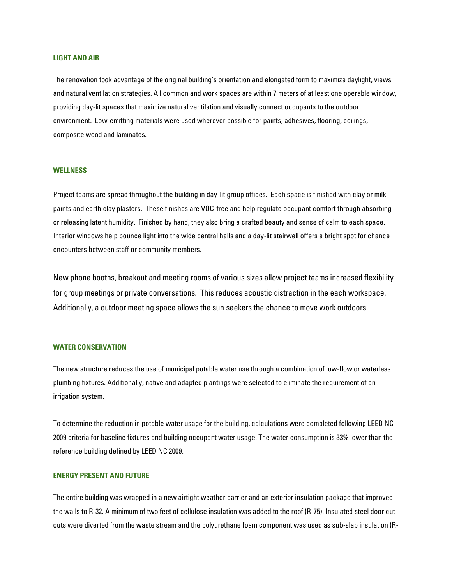## **LIGHT AND AIR**

The renovation took advantage of the original building's orientation and elongated form to maximize daylight, views and natural ventilation strategies. All common and work spaces are within 7 meters of at least one operable window, providing day-lit spaces that maximize natural ventilation and visually connect occupants to the outdoor environment. Low-emitting materials were used wherever possible for paints, adhesives, flooring, ceilings, composite wood and laminates.

## **WELLNESS**

Project teams are spread throughout the building in day-lit group offices. Each space is finished with clay or milk paints and earth clay plasters. These finishes are VOC-free and help regulate occupant comfort through absorbing or releasing latent humidity. Finished by hand, they also bring a crafted beauty and sense of calm to each space. Interior windows help bounce light into the wide central halls and a day-lit stairwell offers a bright spot for chance encounters between staff or community members.

New phone booths, breakout and meeting rooms of various sizes allow project teams increased flexibility for group meetings or private conversations. This reduces acoustic distraction in the each workspace. Additionally, a outdoor meeting space allows the sun seekers the chance to move work outdoors.

#### **WATER CONSERVATION**

The new structure reduces the use of municipal potable water use through a combination of low-flow or waterless plumbing fixtures. Additionally, native and adapted plantings were selected to eliminate the requirement of an irrigation system.

To determine the reduction in potable water usage for the building, calculations were completed following LEED NC 2009 criteria for baseline fixtures and building occupant water usage. The water consumption is 33% lower than the reference building defined by LEED NC 2009.

## **ENERGY PRESENT AND FUTURE**

The entire building was wrapped in a new airtight weather barrier and an exterior insulation package that improved the walls to R-32. A minimum of two feet of cellulose insulation was added to the roof (R-75). Insulated steel door cutouts were diverted from the waste stream and the polyurethane foam component was used as sub-slab insulation (R-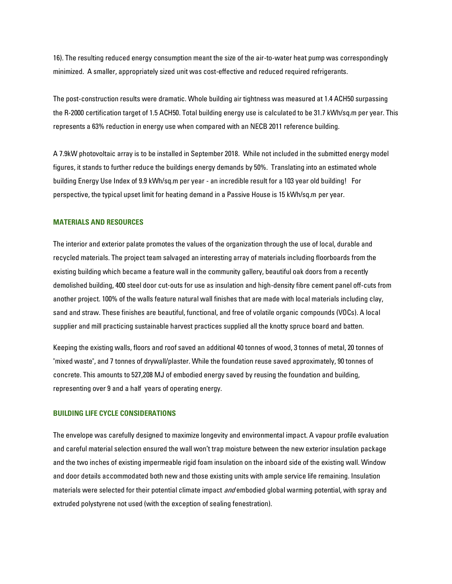16). The resulting reduced energy consumption meant the size of the air-to-water heat pump was correspondingly minimized. A smaller, appropriately sized unit was cost-effective and reduced required refrigerants.

The post-construction results were dramatic. Whole building air tightness was measured at 1.4 ACH50 surpassing the R-2000 certification target of 1.5 ACH50. Total building energy use is calculated to be 31.7 kWh/sq.m per year. This represents a 63% reduction in energy use when compared with an NECB 2011 reference building.

A 7.9kW photovoltaic array is to be installed in September 2018. While not included in the submitted energy model figures, it stands to further reduce the buildings energy demands by 50%. Translating into an estimated whole building Energy Use Index of 9.9 kWh/sq.m per year - an incredible result for a 103 year old building! For perspective, the typical upset limit for heating demand in a Passive House is 15 kWh/sq.m per year.

#### **MATERIALS AND RESOURCES**

The interior and exterior palate promotes the values of the organization through the use of local, durable and recycled materials. The project team salvaged an interesting array of materials including floorboards from the existing building which became a feature wall in the community gallery, beautiful oak doors from a recently demolished building, 400 steel door cut-outs for use as insulation and high-density fibre cement panel off-cuts from another project. 100% of the walls feature natural wall finishes that are made with local materials including clay, sand and straw. These finishes are beautiful, functional, and free of volatile organic compounds (VOCs). A local supplier and mill practicing sustainable harvest practices supplied all the knotty spruce board and batten.

Keeping the existing walls, floors and roof saved an additional 40 tonnes of wood, 3 tonnes of metal, 20 tonnes of "mixed waste", and 7 tonnes of drywall/plaster. While the foundation reuse saved approximately, 90 tonnes of concrete. This amounts to 527,208 MJ of embodied energy saved by reusing the foundation and building, representing over 9 and a half years of operating energy.

## **BUILDING LIFE CYCLE CONSIDERATIONS**

The envelope was carefully designed to maximize longevity and environmental impact. A vapour profile evaluation and careful material selection ensured the wall won't trap moisture between the new exterior insulation package and the two inches of existing impermeable rigid foam insulation on the inboard side of the existing wall. Window and door details accommodated both new and those existing units with ample service life remaining. Insulation materials were selected for their potential climate impact *and* embodied global warming potential, with spray and extruded polystyrene not used (with the exception of sealing fenestration).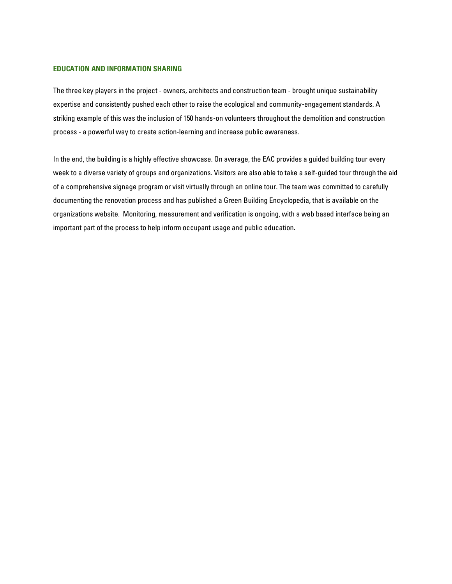## **EDUCATION AND INFORMATION SHARING**

The three key players in the project - owners, architects and construction team - brought unique sustainability expertise and consistently pushed each other to raise the ecological and community-engagement standards. A striking example of this was the inclusion of 150 hands-on volunteers throughout the demolition and construction process - a powerful way to create action-learning and increase public awareness.

In the end, the building is a highly effective showcase. On average, the EAC provides a guided building tour every week to a diverse variety of groups and organizations. Visitors are also able to take a self-guided tour through the aid of a comprehensive signage program or visit virtually through an online tour. The team was committed to carefully documenting the renovation process and has published a Green Building Encyclopedia, that is available on the organizations website. Monitoring, measurement and verification is ongoing, with a web based interface being an important part of the process to help inform occupant usage and public education.